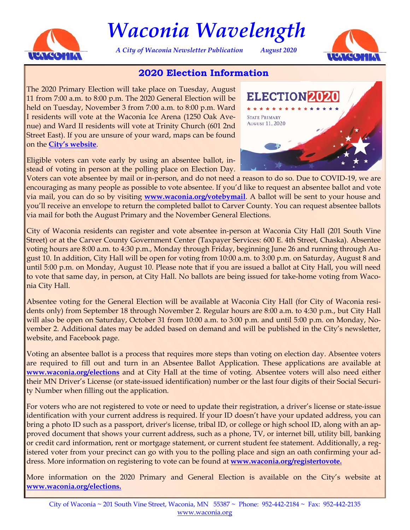

# *Waconia Wavelength*

*A City of Waconia Newsletter Publication August 2020* 



# **2020 Election Information**

The 2020 Primary Election will take place on Tuesday, August 11 from 7:00 a.m. to 8:00 p.m. The 2020 General Election will be held on Tuesday, November 3 from 7:00 a.m. to 8:00 p.m. Ward I residents will vote at the Waconia Ice Arena (1250 Oak Avenue) and Ward II residents will vote at Trinity Church (601 2nd Street East). If you are unsure of your ward, maps can be found on the **[City's website](https://www.waconia.org/166/Elections-Voting)**.

Eligible voters can vote early by using an absentee ballot, instead of voting in person at the polling place on Election Day.



Voters can vote absentee by mail or in-person, and do not need a reason to do so. Due to COVID-19, we are encouraging as many people as possible to vote absentee. If you'd like to request an absentee ballot and vote via mail, you can do so by visiting **[www.waconia.org/votebymail](https://www.sos.state.mn.us/elections-voting/other-ways-to-vote/vote-early-by-mail/)**. A ballot will be sent to your house and you'll receive an envelope to return the completed ballot to Carver County. You can request absentee ballots via mail for both the August Primary and the November General Elections.

City of Waconia residents can register and vote absentee in-person at Waconia City Hall (201 South Vine Street) or at the Carver County Government Center (Taxpayer Services: 600 E. 4th Street, Chaska). Absentee voting hours are 8:00 a.m. to 4:30 p.m., Monday through Friday, beginning June 26 and running through August 10. In addition, City Hall will be open for voting from 10:00 a.m. to 3:00 p.m. on Saturday, August 8 and until 5:00 p.m. on Monday, August 10. Please note that if you are issued a ballot at City Hall, you will need to vote that same day, in person, at City Hall. No ballots are being issued for take-home voting from Waconia City Hall.

Absentee voting for the General Election will be available at Waconia City Hall (for City of Waconia residents only) from September 18 through November 2. Regular hours are 8:00 a.m. to 4:30 p.m., but City Hall will also be open on Saturday, October 31 from 10:00 a.m. to 3:00 p.m. and until 5:00 p.m. on Monday, November 2. Additional dates may be added based on demand and will be published in the City's newsletter, website, and Facebook page.

Voting an absentee ballot is a process that requires more steps than voting on election day. Absentee voters are required to fill out and turn in an Absentee Ballot Application. These applications are available at **[www.waconia.org/elections](https://www.waconia.org/166/Elections-Voting)** and at City Hall at the time of voting. Absentee voters will also need either their MN Driver's License (or state-issued identification) number or the last four digits of their Social Security Number when filling out the application.

For voters who are not registered to vote or need to update their registration, a driver's license or state-issue identification with your current address is required. If your ID doesn't have your updated address, you can bring a photo ID such as a passport, driver's license, tribal ID, or college or high school ID, along with an approved document that shows your current address, such as a phone, TV, or internet bill, utility bill, banking or credit card information, rent or mortgage statement, or current student fee statement. Additionally, a registered voter from your precinct can go with you to the polling place and sign an oath confirming your address. More information on registering to vote can be found at **[www.waconia.org/registertovote.](https://www.waconia.org/461/Register-to-Vote)**

More information on the 2020 Primary and General Election is available on the City's website at **[www.waconia.org/elections.](https://www.waconia.org/461/Register-to-Vote)**